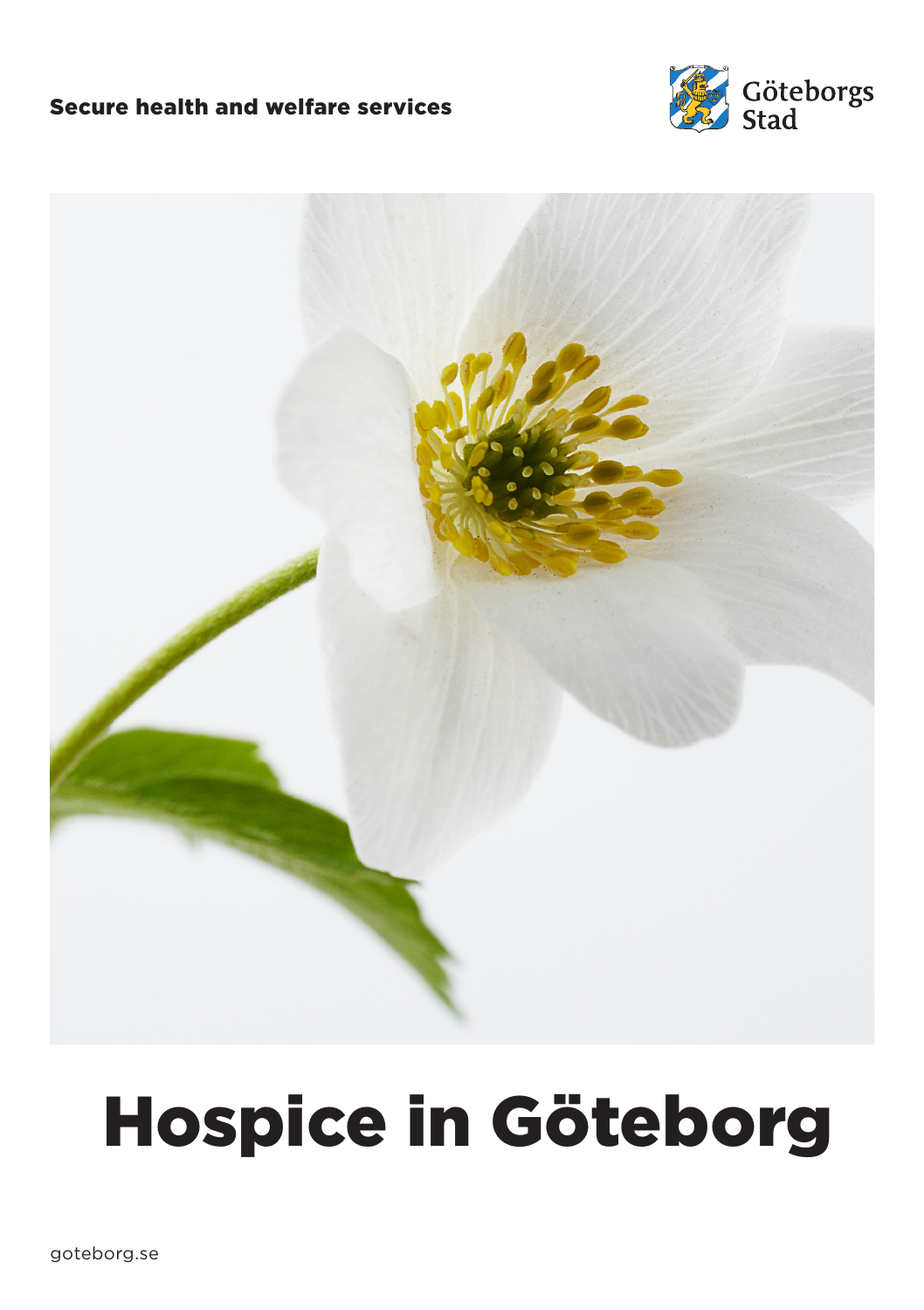#### Secure health and welfare services





# Hospice in Göteborg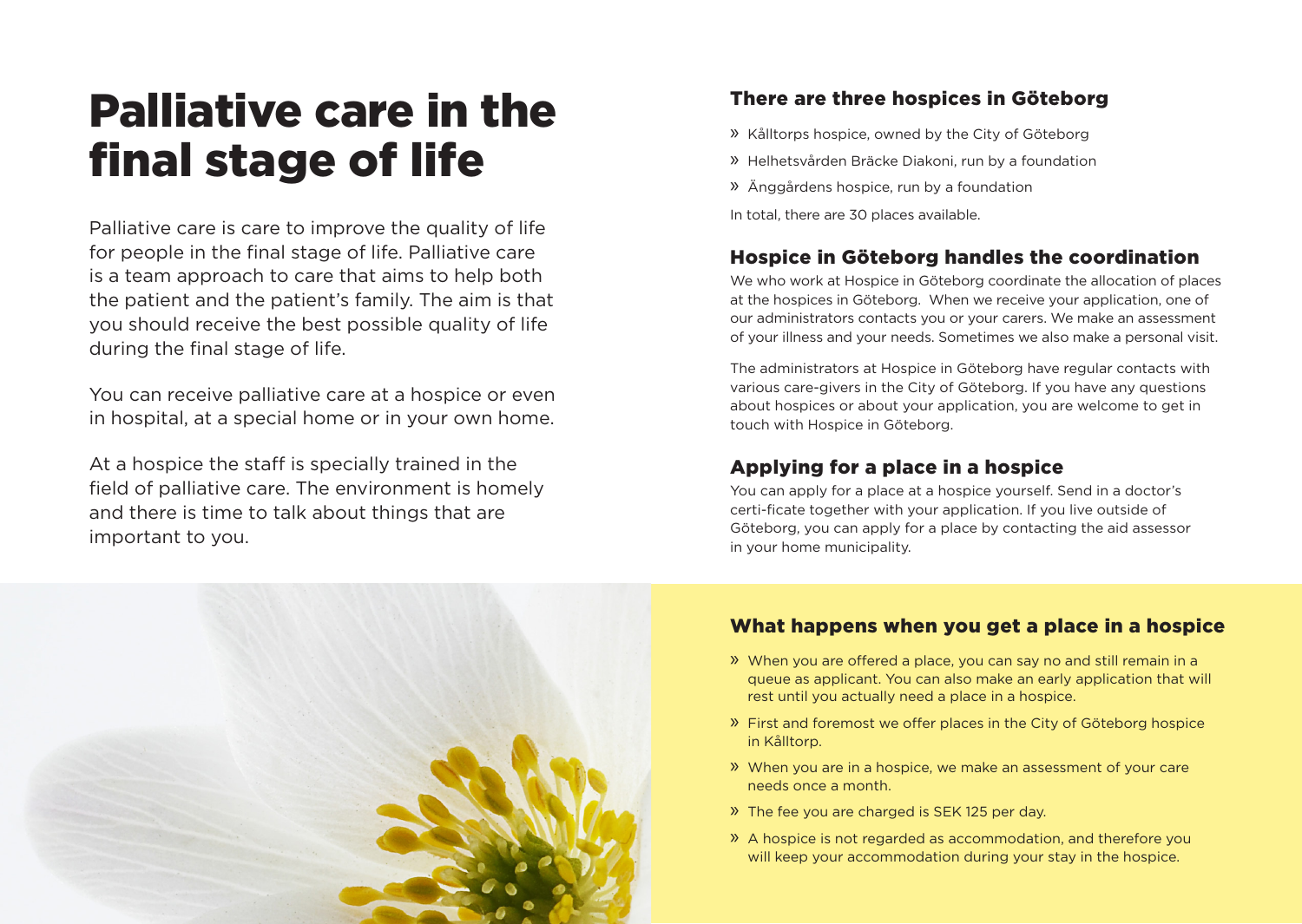# Palliative care in the final stage of life

Palliative care is care to improve the quality of life for people in the final stage of life. Palliative care is a team approach to care that aims to help both the patient and the patient's family. The aim is that you should receive the best possible quality of life during the final stage of life.

You can receive palliative care at a hospice or even in hospital, at a special home or in your own home.

At a hospice the staff is specially trained in the field of palliative care. The environment is homely and there is time to talk about things that are important to you.

# There are three hospices in Göteborg

- » Kålltorps hospice, owned by the City of Göteborg
- » Helhetsvården Bräcke Diakoni, run by a foundation
- » Änggårdens hospice, run by a foundation
- In total, there are 30 places available.

### Hospice in Göteborg handles the coordination

We who work at Hospice in Göteborg coordinate the allocation of places at the hospices in Göteborg. When we receive your application, one of our administrators contacts you or your carers. We make an assessment of your illness and your needs. Sometimes we also make a personal visit.

The administrators at Hospice in Göteborg have regular contacts with various care-givers in the City of Göteborg. If you have any questions about hospices or about your application, you are welcome to get in touch with Hospice in Göteborg.

#### Applying for a place in a hospice

You can apply for a place at a hospice yourself. Send in a doctor's certi-ficate together with your application. If you live outside of Göteborg, you can apply for a place by contacting the aid assessor in your home municipality.



### What happens when you get a place in a hospice

- » When you are offered a place, you can say no and still remain in a queue as applicant. You can also make an early application that will rest until you actually need a place in a hospice.
- » First and foremost we offer places in the City of Göteborg hospice in Kålltorp.
- » When you are in a hospice, we make an assessment of your care needs once a month.
- » The fee you are charged is SEK 125 per day.
- » A hospice is not regarded as accommodation, and therefore you will keep your accommodation during your stay in the hospice.